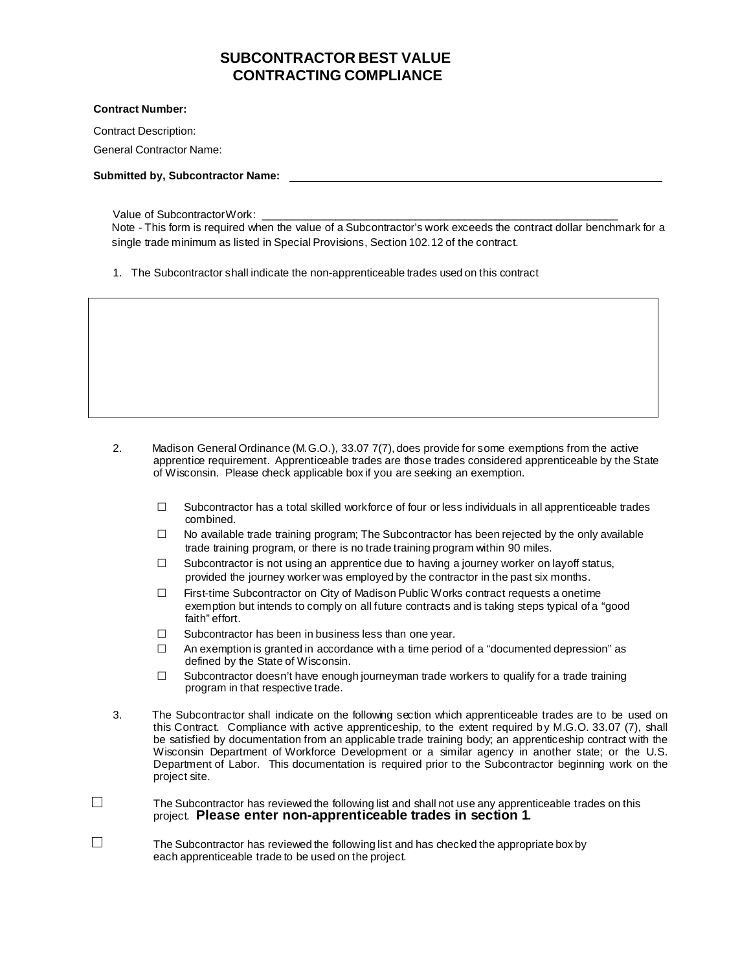## **SUBCONTRACTOR BEST VALUE CONTRACTING COMPLIANCE**

## **Contract Number:**

Contract Description:

General Contractor Name:

**Submitted by, Subcontractor Name:** 

Value of Subcontractor Work:

Note - This form is required when the value of a Subcontractor's work exceeds the contract dollar benchmark for a single trade minimum as listed in Special Provisions, Section 102.12 of the contract.

1. The Subcontractor shall indicate the non-apprenticeable trades used on this contract

- 2. Madison General Ordinance (M.G.O.), 33.07 7(7), does provide for some exemptions from the active apprentice requirement. Apprenticeable trades are those trades considered apprenticeable by the State of Wisconsin. Please check applicable box if you are seeking an exemption.
	- $\Box$  Subcontractor has a total skilled workforce of four or less individuals in all apprenticeable trades combined.
	- $\Box$  No available trade training program; The Subcontractor has been rejected by the only available trade training program, or there is no trade training program within 90 miles.
	- $\Box$  Subcontractor is not using an apprentice due to having a journey worker on layoff status, provided the journey worker was employed by the contractor in the past six months.
	- $\Box$  First-time Subcontractor on City of Madison Public Works contract requests a onetime exemption but intends to comply on all future contracts and is taking steps typical of a "good faith" effort.
	- $\Box$  Subcontractor has been in business less than one year.
	- $\Box$  An exemption is granted in accordance with a time period of a "documented depression" as defined by the State of Wisconsin.
	- $\Box$  Subcontractor doesn't have enough journeyman trade workers to qualify for a trade training program in that respective trade.
- 3. The Subcontractor shall indicate on the following section which apprenticeable trades are to be used on this Contract. Compliance with active apprenticeship, to the extent required by M.G.O. 33.07 (7), shall be satisfied by documentation from an applicable trade training body; an apprenticeship contract with the Wisconsin Department of Workforce Development or a similar agency in another state; or the U.S. Department of Labor. This documentation is required prior to the Subcontractor beginning work on the project site.
- $\Box$ The Subcontractor has reviewed the following list and shall not use any apprenticeable trades on this project. **Please enter non-apprenticeable trades in section 1**.
- $\Box$ The Subcontractor has reviewed the following list and has checked the appropriate box by each apprenticeable trade to be used on the project.